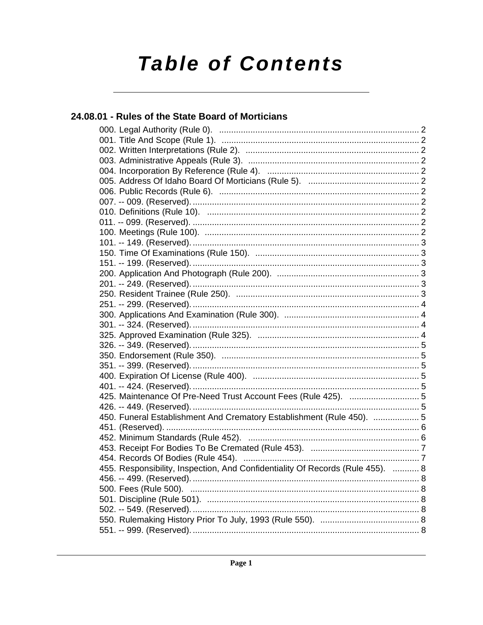# **Table of Contents**

# 24.08.01 - Rules of the State Board of Morticians

| 425. Maintenance Of Pre-Need Trust Account Fees (Rule 425).  5                 |  |
|--------------------------------------------------------------------------------|--|
|                                                                                |  |
| 450. Funeral Establishment And Crematory Establishment (Rule 450).  5          |  |
|                                                                                |  |
|                                                                                |  |
|                                                                                |  |
|                                                                                |  |
| 455. Responsibility, Inspection, And Confidentiality Of Records (Rule 455).  8 |  |
|                                                                                |  |
|                                                                                |  |
|                                                                                |  |
|                                                                                |  |
|                                                                                |  |
|                                                                                |  |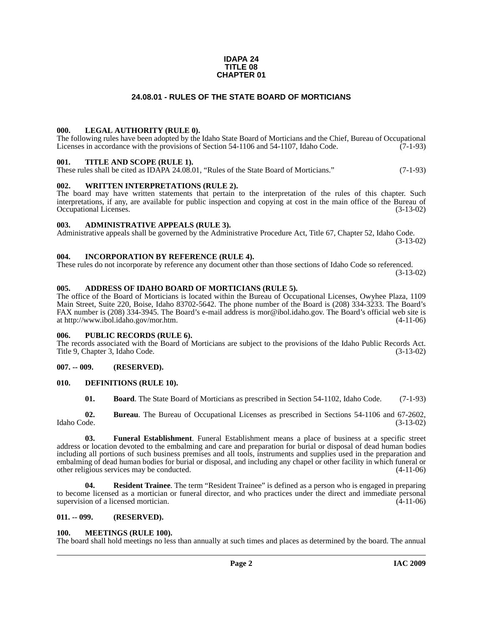#### **IDAPA 24 TITLE 08 CHAPTER 01**

### **24.08.01 - RULES OF THE STATE BOARD OF MORTICIANS**

#### <span id="page-1-1"></span><span id="page-1-0"></span>**000. LEGAL AUTHORITY (RULE 0).**

The following rules have been adopted by the Idaho State Board of Morticians and the Chief, Bureau of Occupational Licenses in accordance with the provisions of Section 54-1106 and 54-1107, Idaho Code.  $(7-1-93)$ 

#### <span id="page-1-2"></span>**001. TITLE AND SCOPE (RULE 1).**

These rules shall be cited as IDAPA 24.08.01, "Rules of the State Board of Morticians." (7-1-93)

#### <span id="page-1-3"></span>**002. WRITTEN INTERPRETATIONS (RULE 2).**

The board may have written statements that pertain to the interpretation of the rules of this chapter. Such interpretations, if any, are available for public inspection and copying at cost in the main office of the Bureau of Occupational Licenses. (3-13-02) Occupational Licenses.

#### <span id="page-1-4"></span>**003. ADMINISTRATIVE APPEALS (RULE 3).**

Administrative appeals shall be governed by the Administrative Procedure Act, Title 67, Chapter 52, Idaho Code. (3-13-02)

#### <span id="page-1-5"></span>**004. INCORPORATION BY REFERENCE (RULE 4).**

These rules do not incorporate by reference any document other than those sections of Idaho Code so referenced. (3-13-02)

#### <span id="page-1-6"></span>**005. ADDRESS OF IDAHO BOARD OF MORTICIANS (RULE 5).**

[The office of the Board of Morticians is located within the Bureau of Occupational Licenses, Owyhee Plaza, 1109](mailto:mor@ibol.idaho.gov)  Main Street, Suite 220, Boise, Idaho 83702-5642. The phone number of the Board is (208) 334-3233. The Board's FAX number is (208) 334-3945. The Board's e-mail address is mor@ibol.idaho.gov. The Board's official web site is [at](mailto:mor@ibol.idaho.gov) [http://www.ibol.idaho.gov/mor.htm. \(4-11-06\)](http://www.ibol.idaho.gov/mor.htm)

#### <span id="page-1-7"></span>**006. PUBLIC RECORDS (RULE 6).**

The records associated with the Board of Morticians are subject to the provisions of the Idaho Public Records Act. Title 9, Chapter 3, Idaho Code. (3-13-02)

#### <span id="page-1-8"></span>**007. -- 009. (RESERVED).**

#### <span id="page-1-9"></span>**010. DEFINITIONS (RULE 10).**

<span id="page-1-12"></span>**01. Board**. The State Board of Morticians as prescribed in Section 54-1102, Idaho Code. (7-1-93)

**02.** Bureau. The Bureau of Occupational Licenses as prescribed in Sections 54-1106 and 67-2602, Idaho Code. (3-13-02) Idaho Code. (3-13-02)

**03. Funeral Establishment**. Funeral Establishment means a place of business at a specific street address or location devoted to the embalming and care and preparation for burial or disposal of dead human bodies including all portions of such business premises and all tools, instruments and supplies used in the preparation and embalming of dead human bodies for burial or disposal, and including any chapel or other facility in which funeral or other religious services may be conducted.

**04. Resident Trainee**. The term "Resident Trainee" is defined as a person who is engaged in preparing to become licensed as a mortician or funeral director, and who practices under the direct and immediate personal supervision of a licensed mortician. (4-11-06)

#### <span id="page-1-10"></span>**011. -- 099. (RESERVED).**

#### <span id="page-1-13"></span><span id="page-1-11"></span>**100. MEETINGS (RULE 100).**

The board shall hold meetings no less than annually at such times and places as determined by the board. The annual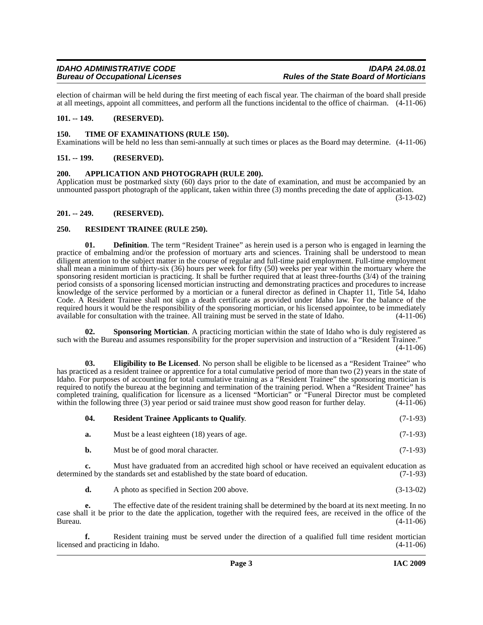election of chairman will be held during the first meeting of each fiscal year. The chairman of the board shall preside at all meetings, appoint all committees, and perform all the functions incidental to the office of chairman. (4-11-06)

#### <span id="page-2-0"></span>**101. -- 149. (RESERVED).**

#### <span id="page-2-11"></span><span id="page-2-1"></span>**150. TIME OF EXAMINATIONS (RULE 150).**

Examinations will be held no less than semi-annually at such times or places as the Board may determine. (4-11-06)

#### <span id="page-2-2"></span>**151. -- 199. (RESERVED).**

#### <span id="page-2-6"></span><span id="page-2-3"></span>**200. APPLICATION AND PHOTOGRAPH (RULE 200).**

Application must be postmarked sixty (60) days prior to the date of examination, and must be accompanied by an unmounted passport photograph of the applicant, taken within three (3) months preceding the date of application.

(3-13-02)

#### <span id="page-2-4"></span>**201. -- 249. (RESERVED).**

#### <span id="page-2-8"></span><span id="page-2-5"></span>**250. RESIDENT TRAINEE (RULE 250).**

**01. Definition**. The term "Resident Trainee" as herein used is a person who is engaged in learning the practice of embalming and/or the profession of mortuary arts and sciences. Training shall be understood to mean diligent attention to the subject matter in the course of regular and full-time paid employment. Full-time employment shall mean a minimum of thirty-six (36) hours per week for fifty (50) weeks per year within the mortuary where the sponsoring resident mortician is practicing. It shall be further required that at least three-fourths (3/4) of the training period consists of a sponsoring licensed mortician instructing and demonstrating practices and procedures to increase knowledge of the service performed by a mortician or a funeral director as defined in Chapter 11, Title 54, Idaho Code. A Resident Trainee shall not sign a death certificate as provided under Idaho law. For the balance of the required hours it would be the responsibility of the sponsoring mortician, or his licensed appointee, to be immediately available for consultation with the trainee. All training must be served in the state of Idaho. (4-11-06)

<span id="page-2-10"></span>**02. Sponsoring Mortician**. A practicing mortician within the state of Idaho who is duly registered as such with the Bureau and assumes responsibility for the proper supervision and instruction of a "Resident Trainee." (4-11-06)

<span id="page-2-7"></span>**03. Eligibility to Be Licensed**. No person shall be eligible to be licensed as a "Resident Trainee" who has practiced as a resident trainee or apprentice for a total cumulative period of more than two (2) years in the state of Idaho. For purposes of accounting for total cumulative training as a "Resident Trainee" the sponsoring mortician is required to notify the bureau at the beginning and termination of the training period. When a "Resident Trainee" has completed training, qualification for licensure as a licensed "Mortician" or "Funeral Director must be completed within the following three (3) year period or said trainee must show good reason for further delay. (4-11-06) within the following three (3) year period or said trainee must show good reason for further delay.

<span id="page-2-9"></span>

| 04. | <b>Resident Trainee Applicants to Qualify.</b> | $(7-1-93)$ |
|-----|------------------------------------------------|------------|
|-----|------------------------------------------------|------------|

| a. | Must be a least eighteen (18) years of age. | $(7-1-93)$ |
|----|---------------------------------------------|------------|
|----|---------------------------------------------|------------|

**b.** Must be of good moral character. (7-1-93)

**c.** Must have graduated from an accredited high school or have received an equivalent education as determined by the standards set and established by the state board of education. (7-1-93)

**d.** A photo as specified in Section 200 above. (3-13-02)

**e.** The effective date of the resident training shall be determined by the board at its next meeting. In no case shall it be prior to the date the application, together with the required fees, are received in the office of the Bureau. (4-11-06)

**f.** Resident training must be served under the direction of a qualified full time resident mortician licensed and practicing in Idaho. (4-11-06)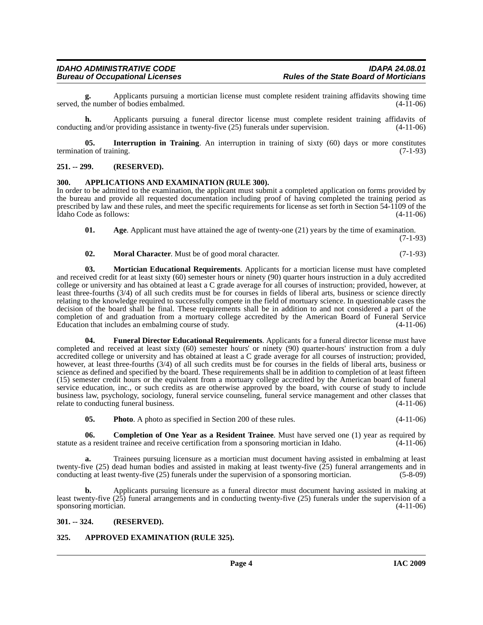**g.** Applicants pursuing a mortician license must complete resident training affidavits showing time served, the number of bodies embalmed. (4-11-06)

**h.** Applicants pursuing a funeral director license must complete resident training affidavits of conducting and/or providing assistance in twenty-five (25) funerals under supervision. (4-11-06)

<span id="page-3-9"></span>**05.** Interruption in Training. An interruption in training of sixty (60) days or more constitutes termination of training. (7-1-93)

#### <span id="page-3-0"></span>**251. -- 299. (RESERVED).**

#### <span id="page-3-5"></span><span id="page-3-1"></span>**300. APPLICATIONS AND EXAMINATION (RULE 300).**

In order to be admitted to the examination, the applicant must submit a completed application on forms provided by the bureau and provide all requested documentation including proof of having completed the training period as prescribed by law and these rules, and meet the specific requirements for license as set forth in Section 54-1109 of the Idaho Code as follows: (4-11-06)

<span id="page-3-10"></span><span id="page-3-4"></span>**01.** Age. Applicant must have attained the age of twenty-one (21) years by the time of examination.

(7-1-93)

#### <span id="page-3-11"></span>**02. Moral Character**. Must be of good moral character. (7-1-93)

**03. Mortician Educational Requirements**. Applicants for a mortician license must have completed and received credit for at least sixty (60) semester hours or ninety (90) quarter hours instruction in a duly accredited college or university and has obtained at least a C grade average for all courses of instruction; provided, however, at least three-fourths (3/4) of all such credits must be for courses in fields of liberal arts, business or science directly relating to the knowledge required to successfully compete in the field of mortuary science. In questionable cases the decision of the board shall be final. These requirements shall be in addition to and not considered a part of the completion of and graduation from a mortuary college accredited by the American Board of Funeral Service Education that includes an embalming course of study.

<span id="page-3-8"></span>**04. Funeral Director Educational Requirements**. Applicants for a funeral director license must have completed and received at least sixty (60) semester hours' or ninety (90) quarter-hours' instruction from a duly accredited college or university and has obtained at least a C grade average for all courses of instruction; provided, however, at least three-fourths (3/4) of all such credits must be for courses in the fields of liberal arts, business or science as defined and specified by the board. These requirements shall be in addition to completion of at least fifteen (15) semester credit hours or the equivalent from a mortuary college accredited by the American board of funeral service education, inc., or such credits as are otherwise approved by the board, with course of study to include business law, psychology, sociology, funeral service counseling, funeral service management and other classes that relate to conducting funeral business. (4-11-06)

<span id="page-3-12"></span><span id="page-3-7"></span>**05.** Photo. A photo as specified in Section 200 of these rules. (4-11-06)

**06. Completion of One Year as a Resident Trainee**. Must have served one (1) year as required by statute as a resident trainee and receive certification from a sponsoring mortician in Idaho. (4-11-06)

**a.** Trainees pursuing licensure as a mortician must document having assisted in embalming at least twenty-five (25) dead human bodies and assisted in making at least twenty-five (25) funeral arrangements and in conducting at least twenty-five (25) funerals under the supervision of a sponsoring mortician. (5-8-09)

**b.** Applicants pursuing licensure as a funeral director must document having assisted in making at least twenty-five (25) funeral arrangements and in conducting twenty-five (25) funerals under the supervision of a sponsoring mortician.  $(4-11-06)$ 

#### <span id="page-3-2"></span>**301. -- 324. (RESERVED).**

#### <span id="page-3-6"></span><span id="page-3-3"></span>**325. APPROVED EXAMINATION (RULE 325).**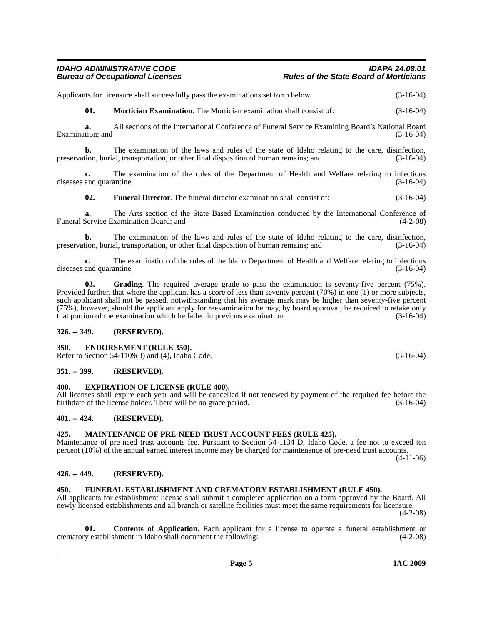## *IDAHO ADMINISTRATIVE CODE IDAPA 24.08.01 Rules of the State Board of Morticians*

Applicants for licensure shall successfully pass the examinations set forth below.  $(3-16-04)$ 

<span id="page-4-15"></span>**01. Mortician Examination**. The Mortician examination shall consist of: (3-16-04)

**a.** All sections of the International Conference of Funeral Service Examining Board's National Board Examination; and (3-16-04) (3-16-04)

**b.** The examination of the laws and rules of the state of Idaho relating to the care, disinfection, preservation, burial, transportation, or other final disposition of human remains; and (3-16-04)

**c.** The examination of the rules of the Department of Health and Welfare relating to infectious diseases and quarantine. (3-16-04)

<span id="page-4-11"></span>**02. Funeral Director**. The funeral director examination shall consist of: (3-16-04)

**a.** The Arts section of the State Based Examination conducted by the International Conference of Service Examination Board; and (4-2-08) Funeral Service Examination Board; and

**b.** The examination of the laws and rules of the state of Idaho relating to the care, disinfection, tion, burial, transportation, or other final disposition of human remains; and (3-16-04) preservation, burial, transportation, or other final disposition of human remains; and

**c.** The examination of the rules of the Idaho Department of Health and Welfare relating to infectious and quarantine. (3-16-04) diseases and quarantine.

<span id="page-4-13"></span>**03. Grading**. The required average grade to pass the examination is seventy-five percent (75%). Provided further, that where the applicant has a score of less than seventy percent (70%) in one (1) or more subjects, such applicant shall not be passed, notwithstanding that his average mark may be higher than seventy-five percent (75%), however, should the applicant apply for reexamination he may, by board approval, be required to retake only that portion of the examination which he failed in previous examination. (3-16-04)

#### <span id="page-4-0"></span>**326. -- 349. (RESERVED).**

#### <span id="page-4-9"></span><span id="page-4-1"></span>**350. ENDORSEMENT (RULE 350).**

Refer to Section 54-1109(3) and (4), Idaho Code. (3-16-04)

#### <span id="page-4-2"></span>**351. -- 399. (RESERVED).**

#### <span id="page-4-10"></span><span id="page-4-3"></span>**400. EXPIRATION OF LICENSE (RULE 400).**

All licenses shall expire each year and will be cancelled if not renewed by payment of the required fee before the birthdate of the license holder. There will be no grace period. (3-16-04) birthdate of the license holder. There will be no grace period.

#### <span id="page-4-4"></span>**401. -- 424. (RESERVED).**

#### <span id="page-4-14"></span><span id="page-4-5"></span>**425. MAINTENANCE OF PRE-NEED TRUST ACCOUNT FEES (RULE 425).**

Maintenance of pre-need trust accounts fee. Pursuant to Section 54-1134 D, Idaho Code, a fee not to exceed ten percent (10%) of the annual earned interest income may be charged for maintenance of pre-need trust accounts.

 $(4-11-06)$ 

#### <span id="page-4-6"></span>**426. -- 449. (RESERVED).**

#### <span id="page-4-12"></span><span id="page-4-7"></span>**450. FUNERAL ESTABLISHMENT AND CREMATORY ESTABLISHMENT (RULE 450).**

All applicants for establishment license shall submit a completed application on a form approved by the Board. All newly licensed establishments and all branch or satellite facilities must meet the same requirements for licensure. (4-2-08)

<span id="page-4-8"></span>**01. Contents of Application**. Each applicant for a license to operate a funeral establishment or crematory establishment in Idaho shall document the following: (4-2-08)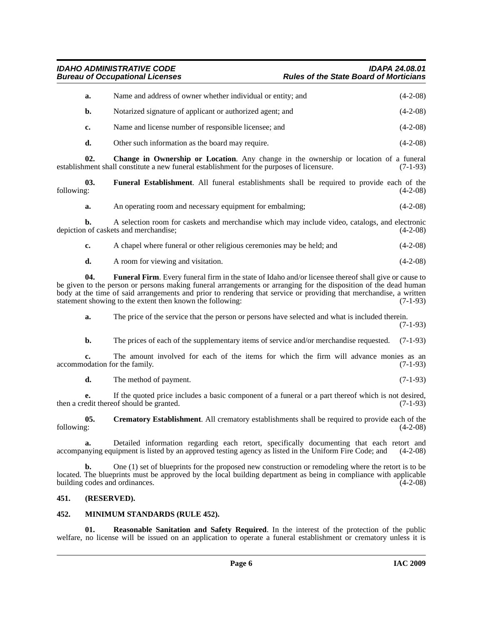*IDAHO ADMINISTRATIVE CODE IDAPA 24.08.01* **Rules of the State Board of Morticians** 

| a. | Name and address of owner whether individual or entity; and | $(4-2-08)$ |
|----|-------------------------------------------------------------|------------|
| b. | Notarized signature of applicant or authorized agent; and   | $(4-2-08)$ |
| c. | Name and license number of responsible licensee; and        | $(4-2-08)$ |
| d. | Other such information as the board may require.            | $(4-2-08)$ |

<span id="page-5-2"></span>**02.** Change in Ownership or Location. Any change in the ownership or location of a funeral ment shall constitute a new funeral establishment for the purposes of licensure. (7-1-93) establishment shall constitute a new funeral establishment for the purposes of licensure.

**03.** Funeral Establishment. All funeral establishments shall be required to provide each of the following: (4-2-08) following: (4-2-08)

<span id="page-5-5"></span>**a.** An operating room and necessary equipment for embalming;  $(4-2-08)$ 

**b.** A selection room for caskets and merchandise which may include video, catalogs, and electronic 1 of caskets and merchandise; (4-2-08) depiction of caskets and merchandise;

| A chapel where funeral or other religious ceremonies may be held; and |  | $(4-2-08)$ |
|-----------------------------------------------------------------------|--|------------|
|                                                                       |  |            |

<span id="page-5-6"></span>**d.** A room for viewing and visitation. (4-2-08)

**04. Funeral Firm**. Every funeral firm in the state of Idaho and/or licensee thereof shall give or cause to be given to the person or persons making funeral arrangements or arranging for the disposition of the dead human body at the time of said arrangements and prior to rendering that service or providing that merchandise, a written statement showing to the extent then known the following: (7-1-93)

**a.** The price of the service that the person or persons have selected and what is included therein.

(7-1-93)

**b.** The prices of each of the supplementary items of service and/or merchandise requested. (7-1-93)

**c.** The amount involved for each of the items for which the firm will advance monies as an accommodation for the family. (7-1-93)

<span id="page-5-3"></span>**d.** The method of payment. (7-1-93)

**e.** If the quoted price includes a basic component of a funeral or a part thereof which is not desired, edit thereof should be granted. (7-1-93) then a credit thereof should be granted.

**05.** Crematory Establishment. All crematory establishments shall be required to provide each of the following:  $(4-2-08)$ following: (4-2-08)

**a.** Detailed information regarding each retort, specifically documenting that each retort and nying equipment is listed by an approved testing agency as listed in the Uniform Fire Code; and (4-2-08) accompanying equipment is listed by an approved testing agency as listed in the Uniform Fire Code; and

**b.** One (1) set of blueprints for the proposed new construction or remodeling where the retort is to be located. The blueprints must be approved by the local building department as being in compliance with applicable building codes and ordinances. (4-2-08)

## <span id="page-5-0"></span>**451. (RESERVED).**

#### <span id="page-5-4"></span><span id="page-5-1"></span>**452. MINIMUM STANDARDS (RULE 452).**

<span id="page-5-7"></span>**01. Reasonable Sanitation and Safety Required**. In the interest of the protection of the public welfare, no license will be issued on an application to operate a funeral establishment or crematory unless it is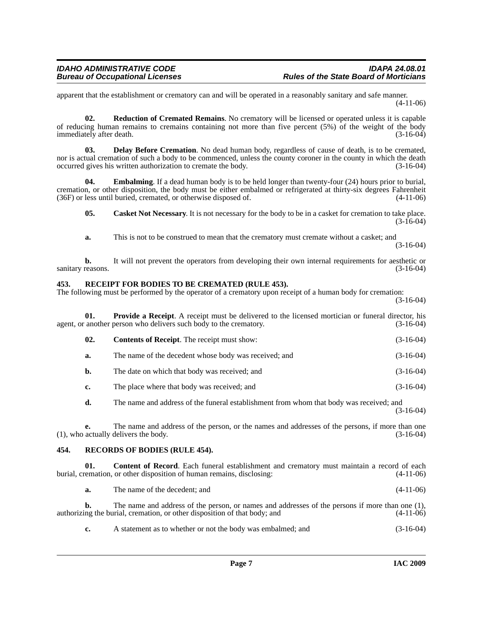apparent that the establishment or crematory can and will be operated in a reasonably sanitary and safe manner. (4-11-06)

<span id="page-6-9"></span>**02. Reduction of Cremated Remains**. No crematory will be licensed or operated unless it is capable of reducing human remains to cremains containing not more than five percent (5%) of the weight of the body immediately after death. (3-16-04)

<span id="page-6-4"></span>**03. Delay Before Cremation**. No dead human body, regardless of cause of death, is to be cremated, nor is actual cremation of such a body to be commenced, unless the county coroner in the county in which the death occurred gives his written authorization to cremate the body. (3-16-04)

**04. Embalming**. If a dead human body is to be held longer than twenty-four (24) hours prior to burial, cremation, or other disposition, the body must be either embalmed or refrigerated at thirty-six degrees Fahrenheit (36F) or less until buried, cremated, or otherwise disposed of. (4-11-06)

<span id="page-6-5"></span><span id="page-6-2"></span>**05.** Casket Not Necessary. It is not necessary for the body to be in a casket for cremation to take place.  $(3-16-04)$ 

**a.** This is not to be construed to mean that the crematory must cremate without a casket; and (3-16-04)

**b.** It will not prevent the operators from developing their own internal requirements for aesthetic or reasons. (3-16-04) sanitary reasons.

#### <span id="page-6-7"></span><span id="page-6-0"></span>**453. RECEIPT FOR BODIES TO BE CREMATED (RULE 453).**

The following must be performed by the operator of a crematory upon receipt of a human body for cremation:

(3-16-04)

**01. Provide a Receipt**. A receipt must be delivered to the licensed mortician or funeral director, his agent, or another person who delivers such body to the crematory. (3-16-04)

<span id="page-6-6"></span>

| 02.<br><b>Contents of Receipt.</b> The receipt must show: | $(3-16-04)$ |
|-----------------------------------------------------------|-------------|
|-----------------------------------------------------------|-------------|

- **a.** The name of the decedent whose body was received; and  $(3-16-04)$
- **b.** The date on which that body was received; and (3-16-04)
- **c.** The place where that body was received; and (3-16-04)
- **d.** The name and address of the funeral establishment from whom that body was received; and (3-16-04)

**e.** The name and address of the person, or the names and addresses of the persons, if more than one actually delivers the body. (3-16-04)  $(1)$ , who actually delivers the body.

#### <span id="page-6-8"></span><span id="page-6-1"></span>**454. RECORDS OF BODIES (RULE 454).**

**01.** Content of Record. Each funeral establishment and crematory must maintain a record of each remation, or other disposition of human remains, disclosing: (4-11-06) burial, cremation, or other disposition of human remains, disclosing:

<span id="page-6-3"></span>**a.** The name of the decedent; and (4-11-06)

**b.** The name and address of the person, or names and addresses of the persons if more than one (1), authorizing the burial, cremation, or other disposition of that body; and (4-11-06)

| $(3-16-04)$<br>A statement as to whether or not the body was embalmed; and |  |
|----------------------------------------------------------------------------|--|
|----------------------------------------------------------------------------|--|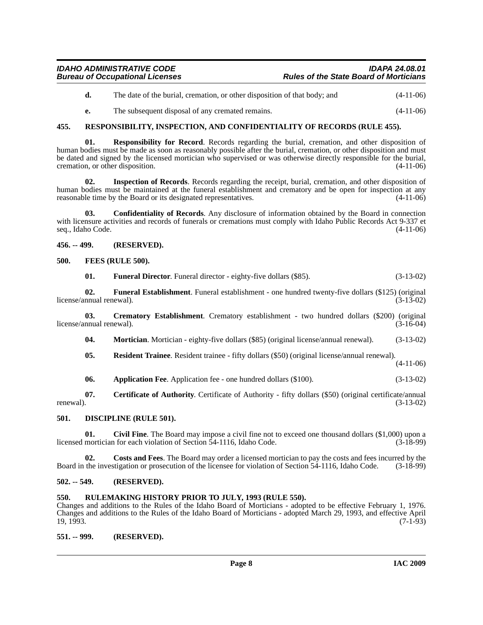- **d.** The date of the burial, cremation, or other disposition of that body; and  $(4-11-06)$
- <span id="page-7-16"></span>**e.** The subsequent disposal of any cremated remains. (4-11-06)

#### <span id="page-7-0"></span>**455. RESPONSIBILITY, INSPECTION, AND CONFIDENTIALITY OF RECORDS (RULE 455).**

**01. Responsibility for Record**. Records regarding the burial, cremation, and other disposition of human bodies must be made as soon as reasonably possible after the burial, cremation, or other disposition and must be dated and signed by the licensed mortician who supervised or was otherwise directly responsible for the burial, cremation, or other disposition. (4-11-06)

**02. Inspection of Records**. Records regarding the receipt, burial, cremation, and other disposition of human bodies must be maintained at the funeral establishment and crematory and be open for inspection at any reasonable time by the Board or its designated representatives. (4-11-06)

**03. Confidentiality of Records**. Any disclosure of information obtained by the Board in connection with licensure activities and records of funerals or cremations must comply with Idaho Public Records Act 9-337 et seq., Idaho Code. (4-11-06)

<span id="page-7-1"></span>**456. -- 499. (RESERVED).**

#### <span id="page-7-2"></span>**500. FEES (RULE 500).**

<span id="page-7-13"></span><span id="page-7-12"></span><span id="page-7-11"></span>**01. Funeral Director**. Funeral director - eighty-five dollars (\$85). (3-13-02)

**02. Funeral Establishment**. Funeral establishment - one hundred twenty-five dollars (\$125) (original license/annual renewal).

**03. Crematory Establishment**. Crematory establishment - two hundred dollars (\$200) (original license/annual renewal). (3-16-04)

- <span id="page-7-14"></span><span id="page-7-9"></span>**04. Mortician.** Mortician - eighty-five dollars (\$85) (original license/annual renewal). (3-13-02)
- <span id="page-7-15"></span>**05. Resident Trainee**. Resident trainee - fifty dollars (\$50) (original license/annual renewal).
	- (4-11-06)

<span id="page-7-8"></span><span id="page-7-7"></span>**06.** Application Fee. Application fee - one hundred dollars (\$100). (3-13-02)

**07.** Certificate of Authority. Certificate of Authority - fifty dollars (\$50) (original certificate/annual renewal).  $(3-13-02)$ renewal).  $(3-13-02)$ 

#### <span id="page-7-10"></span><span id="page-7-3"></span>**501. DISCIPLINE (RULE 501).**

**01.** Civil Fine. The Board may impose a civil fine not to exceed one thousand dollars (\$1,000) upon a mortician for each violation of Section 54-1116, Idaho Code. (3-18-99) licensed mortician for each violation of Section  $\overline{5}4$ -1116, Idaho Code.

**02. Costs and Fees**. The Board may order a licensed mortician to pay the costs and fees incurred by the Board in the investigation or prosecution of the licensee for violation of Section 54-1116, Idaho Code. (3-18-99)

#### <span id="page-7-4"></span>**502. -- 549. (RESERVED).**

#### <span id="page-7-5"></span>**550. RULEMAKING HISTORY PRIOR TO JULY, 1993 (RULE 550).**

Changes and additions to the Rules of the Idaho Board of Morticians - adopted to be effective February 1, 1976. Changes and additions to the Rules of the Idaho Board of Morticians - adopted March 29, 1993, and effective April  $19, 1993.$  (7-1-93)

#### <span id="page-7-6"></span>**551. -- 999. (RESERVED).**